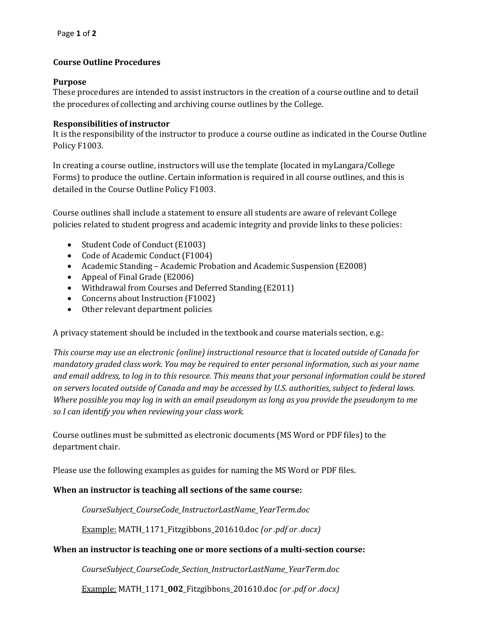# **Course Outline Procedures**

# **Purpose**

These procedures are intended to assist instructors in the creation of a course outline and to detail the procedures of collecting and archiving course outlines by the College.

# **Responsibilities of instructor**

It is the responsibility of the instructor to produce a course outline as indicated in the Course Outline Policy F1003.

In creating a course outline, instructors will use the template (located in myLangara/College Forms) to produce the outline. Certain information is required in all course outlines, and this is detailed in the Course Outline Policy F1003.

Course outlines shall include a statement to ensure all students are aware of relevant College policies related to student progress and academic integrity and provide links to these policies:

- Student Code of Conduct (E1003)
- Code of Academic Conduct (F1004)
- Academic Standing Academic Probation and Academic Suspension (E2008)
- Appeal of Final Grade (E2006)
- Withdrawal from Courses and Deferred Standing (E2011)
- Concerns about Instruction (F1002)
- Other relevant department policies

A privacy statement should be included in the textbook and course materials section, e.g.:

*This course may use an electronic (online) instructional resource that is located outside of Canada for mandatory graded class work. You may be required to enter personal information, such as your name and email address, to log in to this resource. This means that your personal information could be stored on servers located outside of Canada and may be accessed by U.S. authorities, subject to federal laws. Where possible you may log in with an email pseudonym as long as you provide the pseudonym to me so I can identify you when reviewing your class work.*

Course outlines must be submitted as electronic documents (MS Word or PDF files) to the department chair.

Please use the following examples as guides for naming the MS Word or PDF files.

# **When an instructor is teaching all sections of the same course:**

*CourseSubject\_CourseCode\_InstructorLastName\_YearTerm.doc*

Example: MATH\_1171\_Fitzgibbons\_201610.doc *(or .pdf or .docx)*

#### **When an instructor is teaching one or more sections of a multi-section course:**

*CourseSubject\_CourseCode\_Section\_InstructorLastName\_YearTerm.doc*

Example: MATH\_1171\_**002**\_Fitzgibbons\_201610.doc *(or .pdf or .docx)*